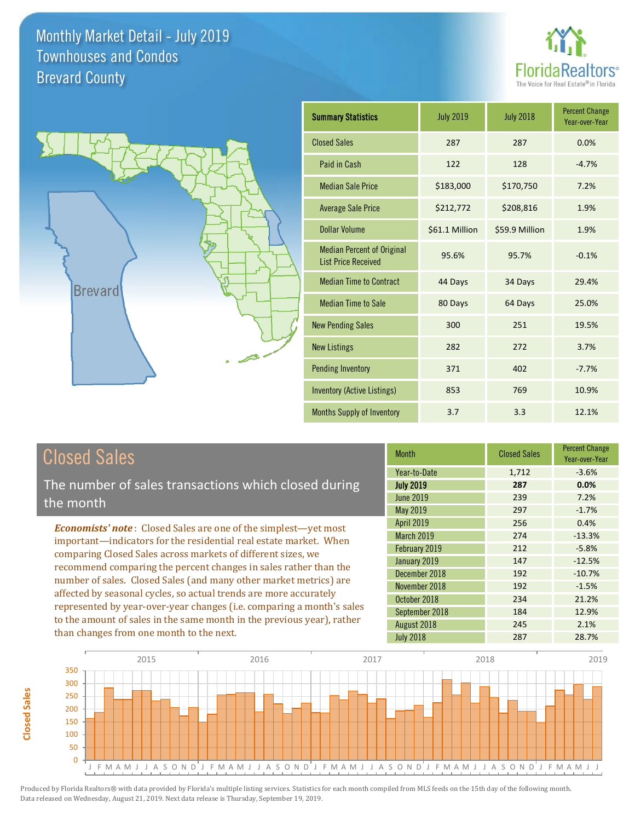



| <b>Summary Statistics</b>                                       | <b>July 2019</b> | <b>July 2018</b> | <b>Percent Change</b><br>Year-over-Year |
|-----------------------------------------------------------------|------------------|------------------|-----------------------------------------|
| <b>Closed Sales</b>                                             | 287              | 287              | 0.0%                                    |
| Paid in Cash                                                    | 122              | 128              | $-4.7%$                                 |
| <b>Median Sale Price</b>                                        | \$183,000        | \$170,750        | 7.2%                                    |
| <b>Average Sale Price</b>                                       | \$212,772        | \$208,816        | 1.9%                                    |
| Dollar Volume                                                   | \$61.1 Million   | \$59.9 Million   | 1.9%                                    |
| <b>Median Percent of Original</b><br><b>List Price Received</b> | 95.6%            | 95.7%            | $-0.1%$                                 |
| <b>Median Time to Contract</b>                                  | 44 Days          | 34 Days          | 29.4%                                   |
| <b>Median Time to Sale</b>                                      | 80 Days          | 64 Days          | 25.0%                                   |
| <b>New Pending Sales</b>                                        | 300              | 251              | 19.5%                                   |
| <b>New Listings</b>                                             | 282              | 272              | 3.7%                                    |
| <b>Pending Inventory</b>                                        | 371              | 402              | $-7.7%$                                 |
| <b>Inventory (Active Listings)</b>                              | 853              | 769              | 10.9%                                   |
| Months Supply of Inventory                                      | 3.7              | 3.3              | 12.1%                                   |

# Closed Sales

The number of sales transactions which closed during the month

*Economists' note* : Closed Sales are one of the simplest—yet most important—indicators for the residential real estate market. When comparing Closed Sales across markets of different sizes, we recommend comparing the percent changes in sales rather than the number of sales. Closed Sales (and many other market metrics) are affected by seasonal cycles, so actual trends are more accurately represented by year-over-year changes (i.e. comparing a month's sales to the amount of sales in the same month in the previous year), rather than changes from one month to the next.

| <b>Month</b>      | <b>Closed Sales</b> | <b>Percent Change</b><br>Year-over-Year |
|-------------------|---------------------|-----------------------------------------|
| Year-to-Date      | 1,712               | $-3.6%$                                 |
| <b>July 2019</b>  | 287                 | 0.0%                                    |
| June 2019         | 239                 | 7.2%                                    |
| <b>May 2019</b>   | 297                 | $-1.7%$                                 |
| <b>April 2019</b> | 256                 | 0.4%                                    |
| <b>March 2019</b> | 274                 | $-13.3%$                                |
| February 2019     | 212                 | $-5.8%$                                 |
| January 2019      | 147                 | $-12.5%$                                |
| December 2018     | 192                 | $-10.7%$                                |
| November 2018     | 192                 | $-1.5%$                                 |
| October 2018      | 234                 | 21.2%                                   |
| September 2018    | 184                 | 12.9%                                   |
| August 2018       | 245                 | 2.1%                                    |
| <b>July 2018</b>  | 287                 | 28.7%                                   |

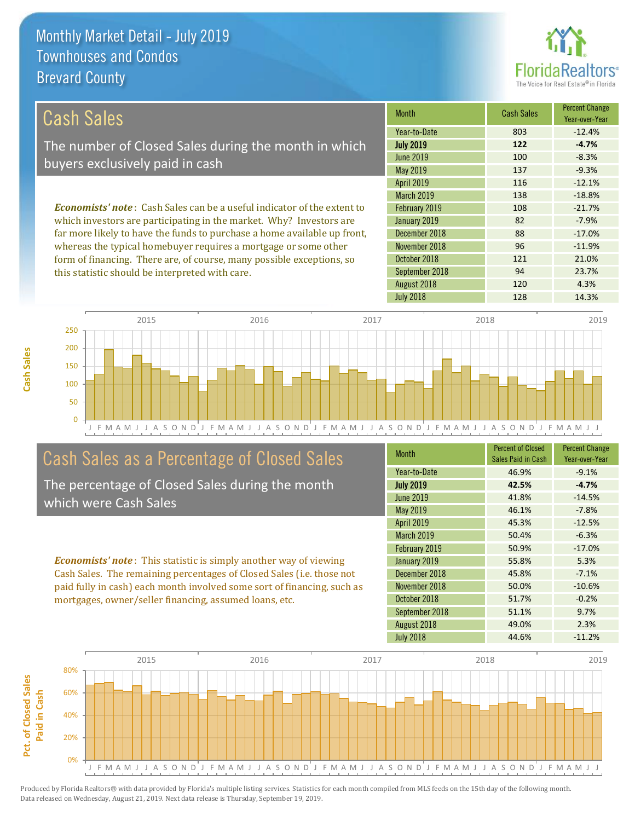

121 21.0%

94 23.7%

| Cash Sales                                                                     | <b>Month</b>      | <b>Cash Sales</b> | <b>Percent Change</b><br>Year-over-Year |
|--------------------------------------------------------------------------------|-------------------|-------------------|-----------------------------------------|
|                                                                                | Year-to-Date      | 803               | $-12.4%$                                |
| The number of Closed Sales during the month in which                           | <b>July 2019</b>  | 122               | $-4.7%$                                 |
| buyers exclusively paid in cash                                                | June 2019         | 100               | $-8.3%$                                 |
|                                                                                | May 2019          | 137               | $-9.3%$                                 |
|                                                                                | <b>April 2019</b> | 116               | $-12.1%$                                |
|                                                                                | <b>March 2019</b> | 138               | $-18.8%$                                |
| <b>Economists' note:</b> Cash Sales can be a useful indicator of the extent to | February 2019     | 108               | $-21.7%$                                |
| which investors are participating in the market. Why? Investors are            | January 2019      | 82                | $-7.9%$                                 |
| far more likely to have the funds to purchase a home available up front,       | December 2018     | 88                | $-17.0%$                                |
| whereas the typical homebuyer requires a mortgage or some other                | November 2018     | 96                | $-11.9%$                                |

J F M A M J J A S O N D J F M A M J J A S O N D J F M A M J J A S O N D J F M A M J J A S O N D J F M A M J J 0 50 100 150 200 250 2015 2016 2017 2018 2019

# Cash Sales as a Percentage of Closed Sales

form of financing. There are, of course, many possible exceptions, so

this statistic should be interpreted with care.

The percentage of Closed Sales during the month which were Cash Sales

*Economists' note* : This statistic is simply another way of viewing Cash Sales. The remaining percentages of Closed Sales (i.e. those not paid fully in cash) each month involved some sort of financing, such as mortgages, owner/seller financing, assumed loans, etc.

| <b>Month</b>      | <b>Percent of Closed</b><br>Sales Paid in Cash | <b>Percent Change</b><br>Year-over-Year |
|-------------------|------------------------------------------------|-----------------------------------------|
| Year-to-Date      | 46.9%                                          | $-9.1%$                                 |
| <b>July 2019</b>  | 42.5%                                          | $-4.7%$                                 |
| <b>June 2019</b>  | 41.8%                                          | $-14.5%$                                |
| May 2019          | 46.1%                                          | $-7.8%$                                 |
| April 2019        | 45.3%                                          | $-12.5%$                                |
| <b>March 2019</b> | 50.4%                                          | $-6.3%$                                 |
| February 2019     | 50.9%                                          | $-17.0%$                                |
| January 2019      | 55.8%                                          | 5.3%                                    |
| December 2018     | 45.8%                                          | $-7.1%$                                 |
| November 2018     | 50.0%                                          | $-10.6%$                                |
| October 2018      | 51.7%                                          | $-0.2%$                                 |
| September 2018    | 51.1%                                          | 9.7%                                    |
| August 2018       | 49.0%                                          | 2.3%                                    |
| <b>July 2018</b>  | 44.6%                                          | $-11.2%$                                |

July 2018 128 128 14.3%

August 2018 120 120 4.3%

September 2018

October 2018



**Cash Sales**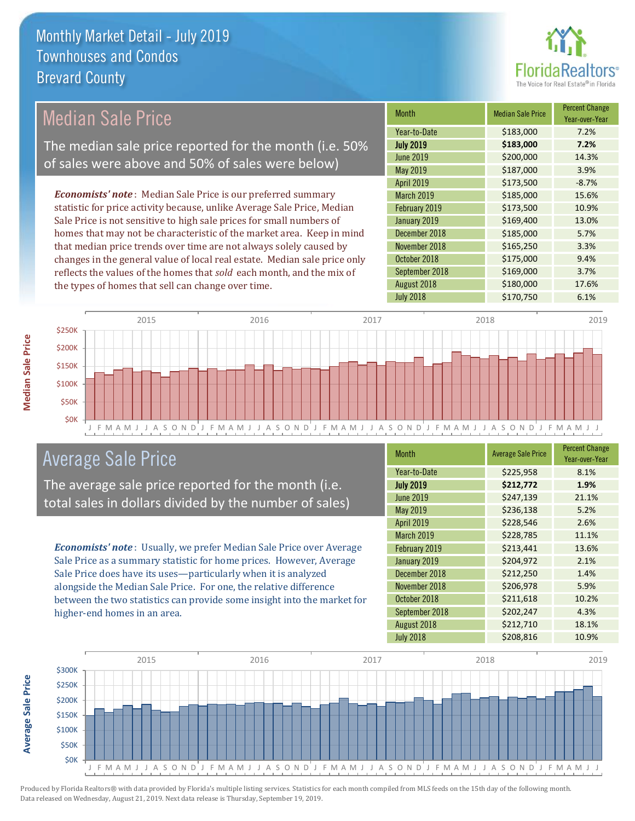

#### Month Median Sale Price Percent Change Year-over-Year July 2019 **\$183,000 7.2%** Year-to-Date \$183,000 7.2% December 2018 **\$185,000** 5.7% June 2019 **\$200,000** \$200,000 14.3% May 2019 **\$187,000** \$187,000 February 2019 **\$173,500** \$173,500 **10.9%** January 2019 **\$169,400** 13.0% April 2019 **\$173,500** -8.7% March 2019 \$185,000 15.6% November 2018 **\$165,250** 3.3% October 2018 **\$175,000** 9.4% September 2018 **\$169,000** 3.7% August 2018 **\$180,000** 17.6% July 2018 **\$170,750** 6.1% *Economists' note* : Median Sale Price is our preferred summary statistic for price activity because, unlike Average Sale Price, Median Sale Price is not sensitive to high sale prices for small numbers of homes that may not be characteristic of the market area. Keep in mind that median price trends over time are not always solely caused by changes in the general value of local real estate. Median sale price only reflects the values of the homes that *sold* each month, and the mix of the types of homes that sell can change over time. Median Sale Price The median sale price reported for the month (i.e. 50% of sales were above and 50% of sales were below)



## Average Sale Price

The average sale price reported for the month (i.e. total sales in dollars divided by the number of sales)

*Economists' note* : Usually, we prefer Median Sale Price over Average Sale Price as a summary statistic for home prices. However, Average Sale Price does have its uses—particularly when it is analyzed alongside the Median Sale Price. For one, the relative difference between the two statistics can provide some insight into the market for higher-end homes in an area.

| <b>Month</b>      | <b>Average Sale Price</b> | <b>Percent Change</b><br>Year-over-Year |
|-------------------|---------------------------|-----------------------------------------|
| Year-to-Date      | \$225,958                 | 8.1%                                    |
| <b>July 2019</b>  | \$212,772                 | 1.9%                                    |
| <b>June 2019</b>  | \$247,139                 | 21.1%                                   |
| May 2019          | \$236,138                 | 5.2%                                    |
| <b>April 2019</b> | \$228,546                 | 2.6%                                    |
| March 2019        | \$228,785                 | 11.1%                                   |
| February 2019     | \$213,441                 | 13.6%                                   |
| January 2019      | \$204,972                 | 2.1%                                    |
| December 2018     | \$212,250                 | 1.4%                                    |
| November 2018     | \$206,978                 | 5.9%                                    |
| October 2018      | \$211,618                 | 10.2%                                   |
| September 2018    | \$202,247                 | 4.3%                                    |
| August 2018       | \$212,710                 | 18.1%                                   |
| <b>July 2018</b>  | \$208,816                 | 10.9%                                   |



**Median Sale Price**

**Median Sale Price**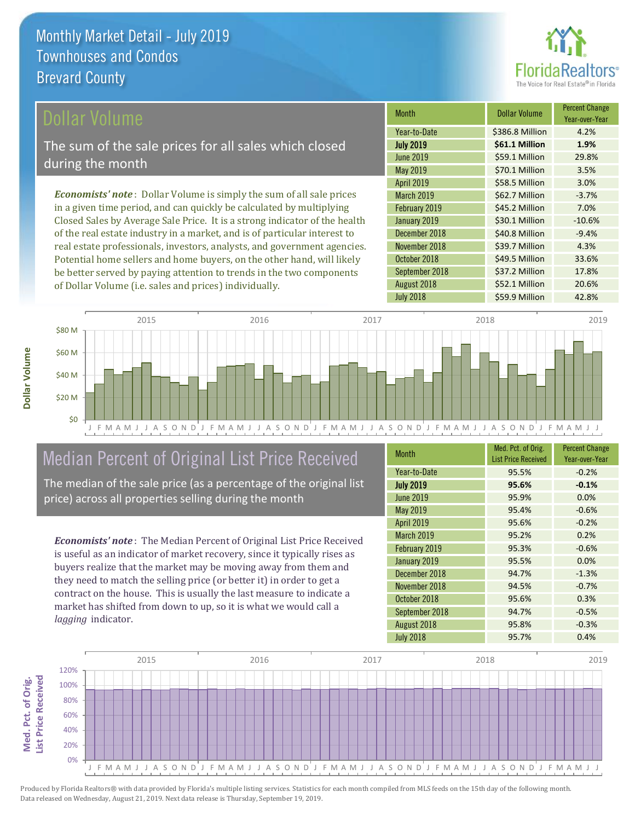

## ollar Volume

The sum of the sale prices for all sales which closed during the month

*Economists' note* : Dollar Volume is simply the sum of all sale prices in a given time period, and can quickly be calculated by multiplying Closed Sales by Average Sale Price. It is a strong indicator of the health of the real estate industry in a market, and is of particular interest to real estate professionals, investors, analysts, and government agencies. Potential home sellers and home buyers, on the other hand, will likely be better served by paying attention to trends in the two components of Dollar Volume (i.e. sales and prices) individually.

| <b>Month</b>      | Dollar Volume   | <b>Percent Change</b><br>Year-over-Year |
|-------------------|-----------------|-----------------------------------------|
| Year-to-Date      | \$386.8 Million | 4.2%                                    |
| <b>July 2019</b>  | \$61.1 Million  | 1.9%                                    |
| June 2019         | \$59.1 Million  | 29.8%                                   |
| May 2019          | \$70.1 Million  | 3.5%                                    |
| <b>April 2019</b> | \$58.5 Million  | 3.0%                                    |
| <b>March 2019</b> | \$62.7 Million  | $-3.7%$                                 |
| February 2019     | \$45.2 Million  | 7.0%                                    |
| January 2019      | \$30.1 Million  | $-10.6%$                                |
| December 2018     | \$40.8 Million  | $-9.4%$                                 |
| November 2018     | \$39.7 Million  | 4.3%                                    |
| October 2018      | \$49.5 Million  | 33.6%                                   |
| September 2018    | \$37.2 Million  | 17.8%                                   |
| August 2018       | \$52.1 Million  | 20.6%                                   |
| <b>July 2018</b>  | \$59.9 Million  | 42.8%                                   |



# Median Percent of Original List Price Received

The median of the sale price (as a percentage of the original list price) across all properties selling during the month

*Economists' note* : The Median Percent of Original List Price Received is useful as an indicator of market recovery, since it typically rises as buyers realize that the market may be moving away from them and they need to match the selling price (or better it) in order to get a contract on the house. This is usually the last measure to indicate a market has shifted from down to up, so it is what we would call a *lagging* indicator.

| <b>Month</b>      | Med. Pct. of Orig.<br><b>List Price Received</b> | <b>Percent Change</b><br>Year-over-Year |
|-------------------|--------------------------------------------------|-----------------------------------------|
| Year-to-Date      | 95.5%                                            | $-0.2%$                                 |
| <b>July 2019</b>  | 95.6%                                            | $-0.1%$                                 |
| <b>June 2019</b>  | 95.9%                                            | 0.0%                                    |
| <b>May 2019</b>   | 95.4%                                            | $-0.6%$                                 |
| <b>April 2019</b> | 95.6%                                            | $-0.2%$                                 |
| March 2019        | 95.2%                                            | 0.2%                                    |
| February 2019     | 95.3%                                            | $-0.6%$                                 |
| January 2019      | 95.5%                                            | 0.0%                                    |
| December 2018     | 94.7%                                            | $-1.3%$                                 |
| November 2018     | 94.5%                                            | $-0.7%$                                 |
| October 2018      | 95.6%                                            | 0.3%                                    |
| September 2018    | 94.7%                                            | $-0.5%$                                 |
| August 2018       | 95.8%                                            | $-0.3%$                                 |
| <b>July 2018</b>  | 95.7%                                            | 0.4%                                    |

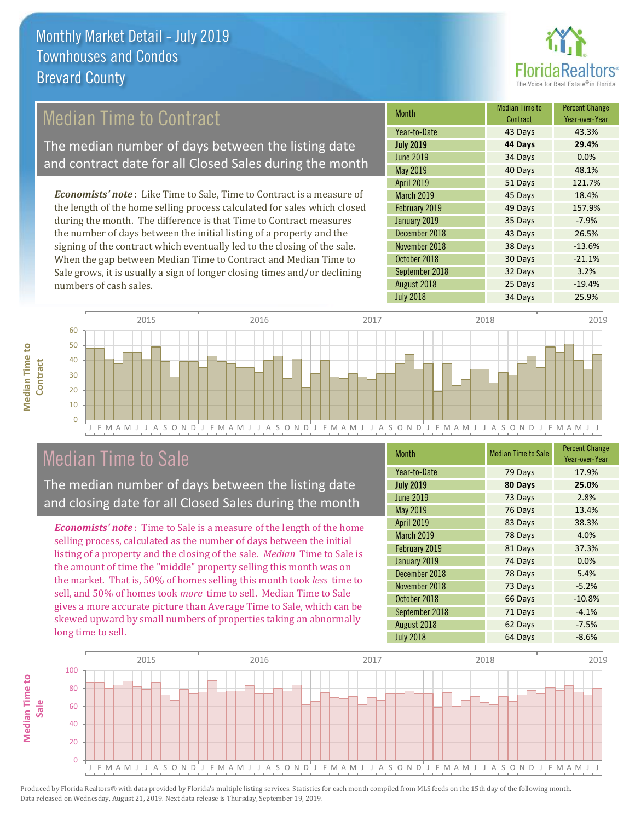

## Median Time to Contract

The median number of days between the listing date and contract date for all Closed Sales during the month

*Economists' note* : Like Time to Sale, Time to Contract is a measure of the length of the home selling process calculated for sales which closed during the month. The difference is that Time to Contract measures the number of days between the initial listing of a property and the signing of the contract which eventually led to the closing of the sale. When the gap between Median Time to Contract and Median Time to Sale grows, it is usually a sign of longer closing times and/or declining numbers of cash sales.

| <b>Month</b>      | <b>Median Time to</b><br>Contract | <b>Percent Change</b><br>Year-over-Year |
|-------------------|-----------------------------------|-----------------------------------------|
| Year-to-Date      | 43 Days                           | 43.3%                                   |
| <b>July 2019</b>  | 44 Days                           | 29.4%                                   |
| June 2019         | 34 Days                           | 0.0%                                    |
| May 2019          | 40 Days                           | 48.1%                                   |
| <b>April 2019</b> | 51 Days                           | 121.7%                                  |
| March 2019        | 45 Days                           | 18.4%                                   |
| February 2019     | 49 Days                           | 157.9%                                  |
| January 2019      | 35 Days                           | $-7.9%$                                 |
| December 2018     | 43 Days                           | 26.5%                                   |
| November 2018     | 38 Days                           | $-13.6%$                                |
| October 2018      | 30 Days                           | $-21.1%$                                |
| September 2018    | 32 Days                           | 3.2%                                    |
| August 2018       | 25 Days                           | $-19.4%$                                |
| <b>July 2018</b>  | 34 Days                           | 25.9%                                   |



## Median Time to Sale

**Median Time to** 

**Median Time to** 

The median number of days between the listing date and closing date for all Closed Sales during the month

*Economists' note* : Time to Sale is a measure of the length of the home selling process, calculated as the number of days between the initial listing of a property and the closing of the sale. *Median* Time to Sale is the amount of time the "middle" property selling this month was on the market. That is, 50% of homes selling this month took *less* time to sell, and 50% of homes took *more* time to sell. Median Time to Sale gives a more accurate picture than Average Time to Sale, which can be skewed upward by small numbers of properties taking an abnormally long time to sell.

| <b>Month</b>     | <b>Median Time to Sale</b> | <b>Percent Change</b><br>Year-over-Year |
|------------------|----------------------------|-----------------------------------------|
| Year-to-Date     | 79 Days                    | 17.9%                                   |
| <b>July 2019</b> | 80 Days                    | 25.0%                                   |
| <b>June 2019</b> | 73 Days                    | 2.8%                                    |
| May 2019         | 76 Days                    | 13.4%                                   |
| April 2019       | 83 Days                    | 38.3%                                   |
| March 2019       | 78 Days                    | 4.0%                                    |
| February 2019    | 81 Days                    | 37.3%                                   |
| January 2019     | 74 Days                    | 0.0%                                    |
| December 2018    | 78 Days                    | 5.4%                                    |
| November 2018    | 73 Days                    | $-5.2%$                                 |
| October 2018     | 66 Days                    | $-10.8%$                                |
| September 2018   | 71 Days                    | $-4.1%$                                 |
| August 2018      | 62 Days                    | $-7.5%$                                 |
| <b>July 2018</b> | 64 Days                    | $-8.6%$                                 |

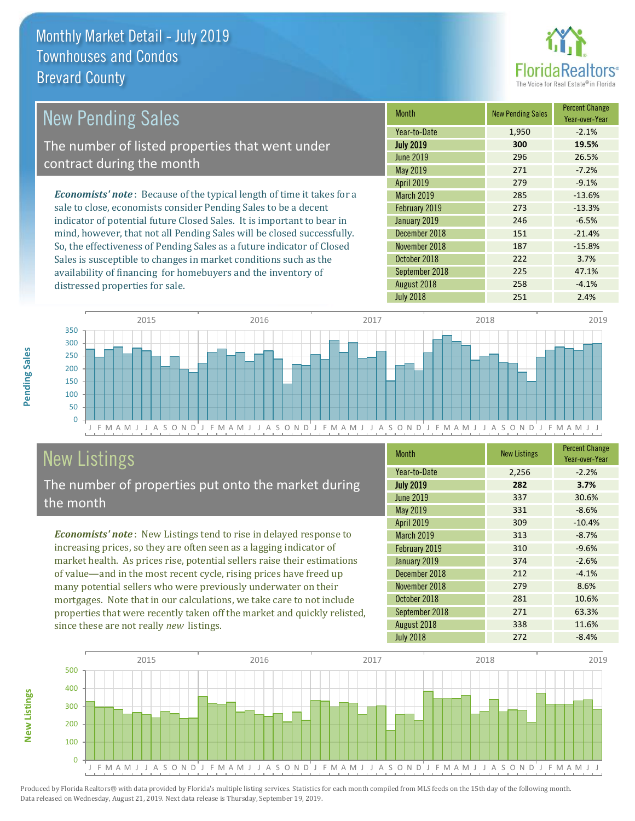distressed properties for sale.



| <b>New Pending Sales</b>                                                       | <b>Month</b>      | <b>New Pending Sales</b> | <b>Percent Change</b><br>Year-over-Year |
|--------------------------------------------------------------------------------|-------------------|--------------------------|-----------------------------------------|
|                                                                                | Year-to-Date      | 1,950                    | $-2.1%$                                 |
| The number of listed properties that went under                                | <b>July 2019</b>  | 300                      | 19.5%                                   |
| contract during the month                                                      | <b>June 2019</b>  | 296                      | 26.5%                                   |
|                                                                                | May 2019          | 271                      | $-7.2%$                                 |
|                                                                                | <b>April 2019</b> | 279                      | $-9.1%$                                 |
| <b>Economists' note</b> : Because of the typical length of time it takes for a | <b>March 2019</b> | 285                      | $-13.6%$                                |
| sale to close, economists consider Pending Sales to be a decent                | February 2019     | 273                      | $-13.3%$                                |
| indicator of potential future Closed Sales. It is important to bear in         | January 2019      | 246                      | $-6.5%$                                 |
| mind, however, that not all Pending Sales will be closed successfully.         | December 2018     | 151                      | $-21.4%$                                |
| So, the effectiveness of Pending Sales as a future indicator of Closed         | November 2018     | 187                      | $-15.8%$                                |
| Sales is susceptible to changes in market conditions such as the               | October 2018      | 222                      | 3.7%                                    |



# New Listings

The number of properties put onto the market during the month

availability of financing for homebuyers and the inventory of

*Economists' note* : New Listings tend to rise in delayed response to increasing prices, so they are often seen as a lagging indicator of market health. As prices rise, potential sellers raise their estimations of value—and in the most recent cycle, rising prices have freed up many potential sellers who were previously underwater on their mortgages. Note that in our calculations, we take care to not include properties that were recently taken off the market and quickly relisted, since these are not really *new* listings.

| <b>Month</b>      | <b>New Listings</b> | <b>Percent Change</b><br>Year-over-Year |
|-------------------|---------------------|-----------------------------------------|
| Year-to-Date      | 2,256               | $-2.2%$                                 |
| <b>July 2019</b>  | 282                 | 3.7%                                    |
| <b>June 2019</b>  | 337                 | 30.6%                                   |
| May 2019          | 331                 | $-8.6%$                                 |
| April 2019        | 309                 | $-10.4%$                                |
| <b>March 2019</b> | 313                 | $-8.7%$                                 |
| February 2019     | 310                 | $-9.6%$                                 |
| January 2019      | 374                 | $-2.6%$                                 |
| December 2018     | 212                 | $-4.1%$                                 |
| November 2018     | 279                 | 8.6%                                    |
| October 2018      | 281                 | 10.6%                                   |
| September 2018    | 271                 | 63.3%                                   |
| August 2018       | 338                 | 11.6%                                   |
| <b>July 2018</b>  | 272                 | $-8.4%$                                 |

September 2018 **225** 47.1% August 2018 **258** -4.1% July 2018 251 2.4%



Produced by Florida Realtors® with data provided by Florida's multiple listing services. Statistics for each month compiled from MLS feeds on the 15th day of the following month. Data released on Wednesday, August 21, 2019. Next data release is Thursday, September 19, 2019.

**New Listings**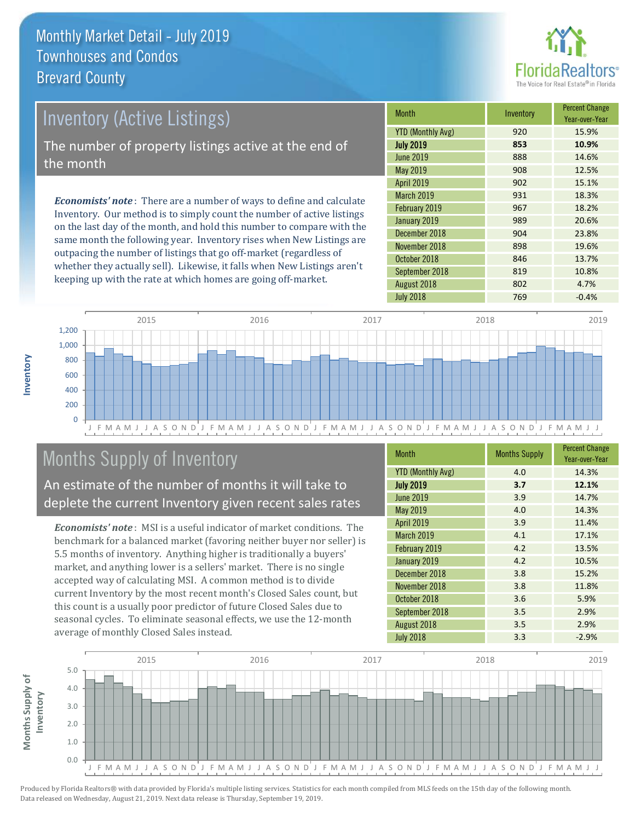

# *Economists' note* : There are a number of ways to define and calculate Inventory (Active Listings) The number of property listings active at the end of the month

Inventory. Our method is to simply count the number of active listings on the last day of the month, and hold this number to compare with the same month the following year. Inventory rises when New Listings are outpacing the number of listings that go off-market (regardless of whether they actually sell). Likewise, it falls when New Listings aren't keeping up with the rate at which homes are going off-market.

| Month                    | Inventory | <b>Percent Change</b><br>Year-over-Year |
|--------------------------|-----------|-----------------------------------------|
| <b>YTD (Monthly Avg)</b> | 920       | 15.9%                                   |
| <b>July 2019</b>         | 853       | 10.9%                                   |
| <b>June 2019</b>         | 888       | 14.6%                                   |
| May 2019                 | 908       | 12.5%                                   |
| <b>April 2019</b>        | 902       | 15.1%                                   |
| <b>March 2019</b>        | 931       | 18.3%                                   |
| February 2019            | 967       | 18.2%                                   |
| January 2019             | 989       | 20.6%                                   |
| December 2018            | 904       | 23.8%                                   |
| November 2018            | 898       | 19.6%                                   |
| October 2018             | 846       | 13.7%                                   |
| September 2018           | 819       | 10.8%                                   |
| August 2018              | 802       | 4.7%                                    |
| <b>July 2018</b>         | 769       | $-0.4%$                                 |



# Months Supply of Inventory

An estimate of the number of months it will take to deplete the current Inventory given recent sales rates

*Economists' note* : MSI is a useful indicator of market conditions. The benchmark for a balanced market (favoring neither buyer nor seller) is 5.5 months of inventory. Anything higher is traditionally a buyers' market, and anything lower is a sellers' market. There is no single accepted way of calculating MSI. A common method is to divide current Inventory by the most recent month's Closed Sales count, but this count is a usually poor predictor of future Closed Sales due to seasonal cycles. To eliminate seasonal effects, we use the 12-month average of monthly Closed Sales instead.

| <b>Month</b>             | <b>Months Supply</b> | <b>Percent Change</b><br>Year-over-Year |
|--------------------------|----------------------|-----------------------------------------|
| <b>YTD (Monthly Avg)</b> | 4.0                  | 14.3%                                   |
| <b>July 2019</b>         | 3.7                  | 12.1%                                   |
| <b>June 2019</b>         | 3.9                  | 14.7%                                   |
| May 2019                 | 4.0                  | 14.3%                                   |
| <b>April 2019</b>        | 3.9                  | 11.4%                                   |
| <b>March 2019</b>        | 4.1                  | 17.1%                                   |
| February 2019            | 4.2                  | 13.5%                                   |
| January 2019             | 4.2                  | 10.5%                                   |
| December 2018            | 3.8                  | 15.2%                                   |
| November 2018            | 3.8                  | 11.8%                                   |
| October 2018             | 3.6                  | 5.9%                                    |
| September 2018           | 3.5                  | 2.9%                                    |
| August 2018              | 3.5                  | 2.9%                                    |
| <b>July 2018</b>         | 3.3                  | $-2.9%$                                 |

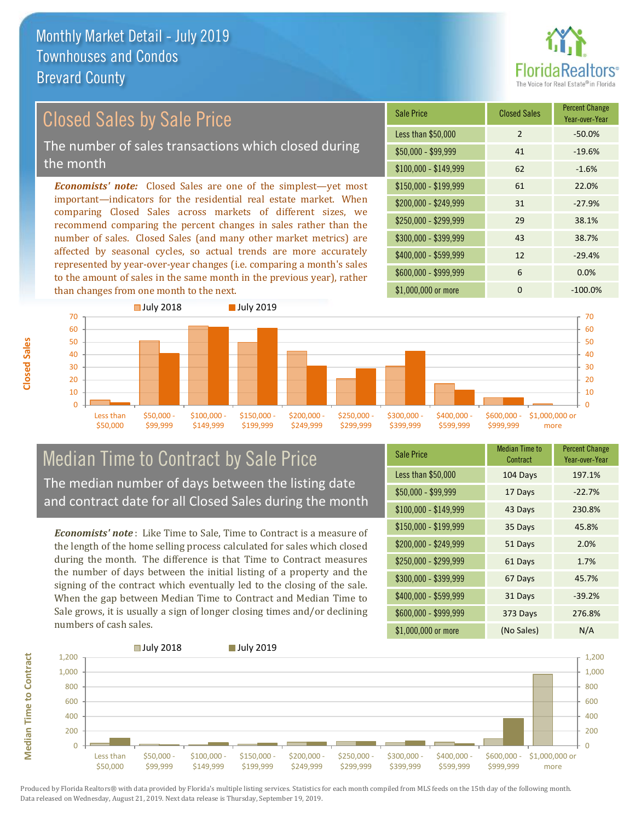

# Closed Sales by Sale Price

The number of sales transactions which closed during the month

*Economists' note:* Closed Sales are one of the simplest—yet most important—indicators for the residential real estate market. When comparing Closed Sales across markets of different sizes, we recommend comparing the percent changes in sales rather than the number of sales. Closed Sales (and many other market metrics) are affected by seasonal cycles, so actual trends are more accurately represented by year-over-year changes (i.e. comparing a month's sales to the amount of sales in the same month in the previous year), rather than changes from one month to the next.





## Median Time to Contract by Sale Price The median number of days between the listing date and contract date for all Closed Sales during the month

*Economists' note* : Like Time to Sale, Time to Contract is a measure of the length of the home selling process calculated for sales which closed during the month. The difference is that Time to Contract measures the number of days between the initial listing of a property and the signing of the contract which eventually led to the closing of the sale. When the gap between Median Time to Contract and Median Time to Sale grows, it is usually a sign of longer closing times and/or declining numbers of cash sales.

| <b>Sale Price</b>     | Median Time to<br>Contract | <b>Percent Change</b><br>Year-over-Year |
|-----------------------|----------------------------|-----------------------------------------|
| Less than \$50,000    | 104 Days                   | 197.1%                                  |
| $$50,000 - $99,999$   | 17 Days                    | $-22.7%$                                |
| $$100,000 - $149,999$ | 43 Days                    | 230.8%                                  |
| $$150,000 - $199,999$ | 35 Days                    | 45.8%                                   |
| \$200,000 - \$249,999 | 51 Days                    | 2.0%                                    |
| \$250,000 - \$299,999 | 61 Days                    | 1.7%                                    |
| \$300,000 - \$399,999 | 67 Days                    | 45.7%                                   |
| \$400,000 - \$599,999 | 31 Days                    | $-39.2%$                                |
| \$600,000 - \$999,999 | 373 Days                   | 276.8%                                  |
| \$1,000,000 or more   | (No Sales)                 | N/A                                     |



Produced by Florida Realtors® with data provided by Florida's multiple listing services. Statistics for each month compiled from MLS feeds on the 15th day of the following month. Data released on Wednesday, August 21, 2019. Next data release is Thursday, September 19, 2019.

**Median Time to Contract**

**Median Time to Contract**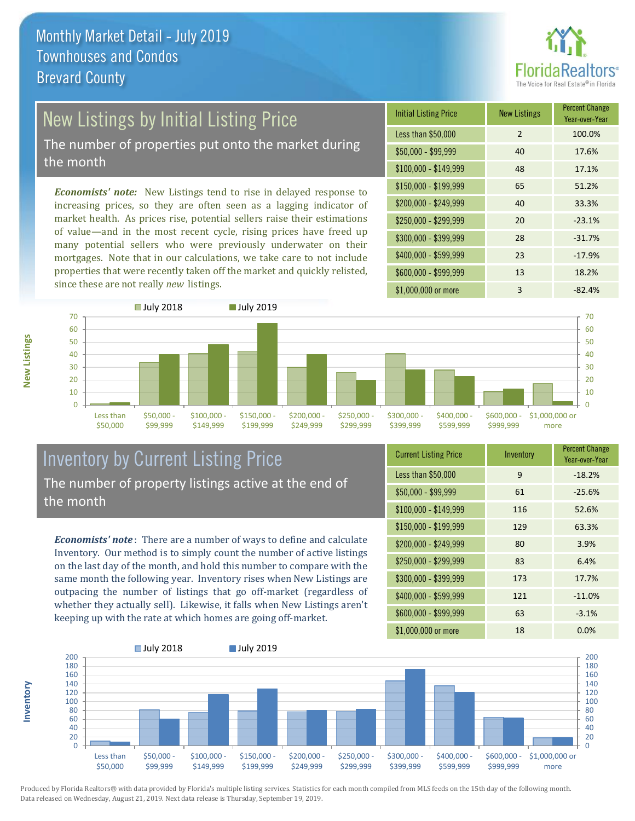

# New Listings by Initial Listing Price

The number of properties put onto the market during the month

*Economists' note:* New Listings tend to rise in delayed response to increasing prices, so they are often seen as a lagging indicator of market health. As prices rise, potential sellers raise their estimations of value—and in the most recent cycle, rising prices have freed up many potential sellers who were previously underwater on their mortgages. Note that in our calculations, we take care to not include properties that were recently taken off the market and quickly relisted, since these are not really *new* listings.





## Inventory by Current Listing Price The number of property listings active at the end of the month

*Economists' note* : There are a number of ways to define and calculate Inventory. Our method is to simply count the number of active listings on the last day of the month, and hold this number to compare with the same month the following year. Inventory rises when New Listings are outpacing the number of listings that go off-market (regardless of whether they actually sell). Likewise, it falls when New Listings aren't keeping up with the rate at which homes are going off-market.

| <b>Current Listing Price</b> | Inventory | <b>Percent Change</b><br>Year-over-Year |
|------------------------------|-----------|-----------------------------------------|
| Less than \$50,000           | 9         | $-18.2%$                                |
| $$50,000 - $99,999$          | 61        | $-25.6%$                                |
| $$100,000 - $149,999$        | 116       | 52.6%                                   |
| $$150,000 - $199,999$        | 129       | 63.3%                                   |
| \$200,000 - \$249,999        | 80        | 3.9%                                    |
| \$250,000 - \$299,999        | 83        | 6.4%                                    |
| \$300,000 - \$399,999        | 173       | 17.7%                                   |
| \$400,000 - \$599,999        | 121       | $-11.0%$                                |
| \$600,000 - \$999,999        | 63        | $-3.1%$                                 |
| \$1,000,000 or more          | 18        | 0.0%                                    |



Produced by Florida Realtors® with data provided by Florida's multiple listing services. Statistics for each month compiled from MLS feeds on the 15th day of the following month. Data released on Wednesday, August 21, 2019. Next data release is Thursday, September 19, 2019.

**Inventory**